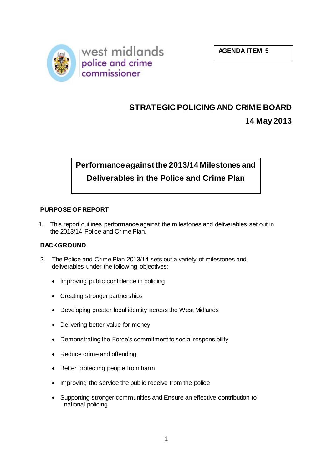



# **STRATEGIC POLICING AND CRIME BOARD**

# **14 May 2013**

# **Performance against the 2013/14 Milestones and Deliverables in the Police and Crime Plan**

# **PURPOSE OF REPORT**

1. This report outlines performance against the milestones and deliverables set out in the 2013/14 Police and Crime Plan.

# **BACKGROUND**

- 2. The Police and Crime Plan 2013/14 sets out a variety of milestones and deliverables under the following objectives:
	- Improving public confidence in policing
	- Creating stronger partnerships
	- Developing greater local identity across the West Midlands
	- Delivering better value for money
	- Demonstrating the Force's commitment to social responsibility
	- Reduce crime and offending
	- Better protecting people from harm
	- Improving the service the public receive from the police
	- Supporting stronger communities and Ensure an effective contribution to national policing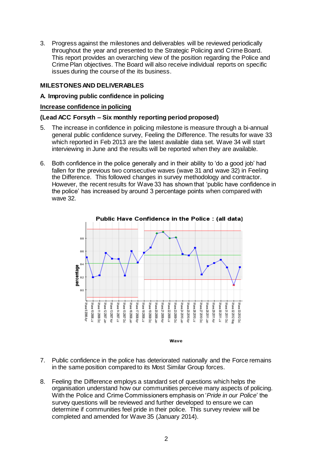3. Progress against the milestones and deliverables will be reviewed periodically throughout the year and presented to the Strategic Policing and Crime Board. This report provides an overarching view of the position regarding the Police and Crime Plan objectives. The Board will also receive individual reports on specific issues during the course of the its business.

### **MILESTONES AND DELIVERABLES**

#### **A. Improving public confidence in policing**

#### **Increase confidence in policing**

#### **(Lead ACC Forsyth – Six monthly reporting period proposed)**

- 5. The increase in confidence in policing milestone is measure through a bi-annual general public confidence survey, Feeling the Difference. The results for wave 33 which reported in Feb 2013 are the latest available data set. Wave 34 will start interviewing in June and the results will be reported when they are available.
- 6. Both confidence in the police generally and in their ability to 'do a good job' had fallen for the previous two consecutive waves (wave 31 and wave 32) in Feeling the Difference. This followed changes in survey methodology and contractor. However, the recent results for Wave 33 has shown that 'public have confidence in the police' has increased by around 3 percentage points when compared with wave 32.



Wave

- 7. Public confidence in the police has deteriorated nationally and the Force remains in the same position compared to its Most Similar Group forces.
- 8. Feeling the Difference employs a standard set of questions which helps the organisation understand how our communities perceive many aspects of policing. With the Police and Crime Commissioners emphasis on '*Pride in our Police*' the survey questions will be reviewed and further developed to ensure we can determine if communities feel pride in their police. This survey review will be completed and amended for Wave 35 (January 2014).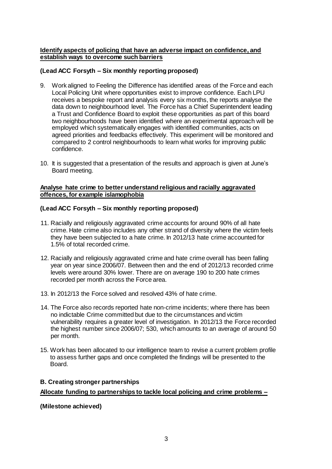# **Identify aspects of policing that have an adverse impact on confidence, and establish ways to overcome such barriers**

# **(Lead ACC Forsyth – Six monthly reporting proposed)**

- 9. Work aligned to Feeling the Difference has identified areas of the Force and each Local Policing Unit where opportunities exist to improve confidence. Each LPU receives a bespoke report and analysis every six months, the reports analyse the data down to neighbourhood level. The Force has a Chief Superintendent leading a Trust and Confidence Board to exploit these opportunities as part of this board two neighbourhoods have been identified where an experimental approach will be employed which systematically engages with identified communities, acts on agreed priorities and feedbacks effectively. This experiment will be monitored and compared to 2 control neighbourhoods to learn what works for improving public confidence.
- 10. It is suggested that a presentation of the results and approach is given at June's Board meeting.

#### **Analyse hate crime to better understand religious and racially aggravated offences, for example islamophobia**

# **(Lead ACC Forsyth – Six monthly reporting proposed)**

- 11. Racially and religiously aggravated crime accounts for around 90% of all hate crime. Hate crime also includes any other strand of diversity where the victim feels they have been subjected to a hate crime. In 2012/13 hate crime accounted for 1.5% of total recorded crime.
- 12. Racially and religiously aggravated crime and hate crime overall has been falling year on year since 2006/07. Between then and the end of 2012/13 recorded crime levels were around 30% lower. There are on average 190 to 200 hate crimes recorded per month across the Force area.
- 13. In 2012/13 the Force solved and resolved 43% of hate crime.
- 14. The Force also records reported hate non-crime incidents; where there has been no indictable Crime committed but due to the circumstances and victim vulnerability requires a greater level of investigation. In 2012/13 the Force recorded the highest number since 2006/07; 530, which amounts to an average of around 50 per month.
- 15. Work has been allocated to our intelligence team to revise a current problem profile to assess further gaps and once completed the findings will be presented to the Board.

#### **B. Creating stronger partnerships**

#### **Allocate funding to partnerships to tackle local policing and crime problems –**

#### **(Milestone achieved)**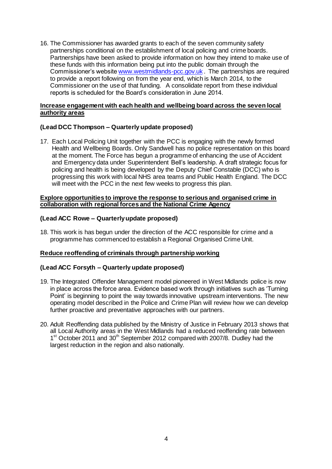16. The Commissioner has awarded grants to each of the seven community safety partnerships conditional on the establishment of local policing and crime boards. Partnerships have been asked to provide information on how they intend to make use of these funds with this information being put into the public domain through the Commissioner's websit[e www.westmidlands-pcc.gov.uk](http://www.westmidlands-pcc.gov.uk/) . The partnerships are required to provide a report following on from the year end, which is March 2014, to the Commissioner on the use of that funding. A consolidate report from these individual reports is scheduled for the Board's consideration in June 2014.

#### **Increase engagement with each health and wellbeing board across the seven local authority areas**

#### **(Lead DCC Thompson – Quarterly update proposed)**

17. Each Local Policing Unit together with the PCC is engaging with the newly formed Health and Wellbeing Boards. Only Sandwell has no police representation on this board at the moment. The Force has begun a programme of enhancing the use of Accident and Emergency data under Superintendent Bell's leadership. A draft strategic focus for policing and health is being developed by the Deputy Chief Constable (DCC) who is progressing this work with local NHS area teams and Public Health England. The DCC will meet with the PCC in the next few weeks to progress this plan.

#### **Explore opportunities to improve the response to serious and organised crime in collaboration with regional forces and the National Crime Agency**

# **(Lead ACC Rowe – Quarterly update proposed)**

18. This work is has begun under the direction of the ACC responsible for crime and a programme has commenced to establish a Regional Organised Crime Unit.

#### **Reduce reoffending of criminals through partnership working**

#### **(Lead ACC Forsyth – Quarterly update proposed)**

- 19. The Integrated Offender Management model pioneered in West Midlands police is now in place across the force area. Evidence based work through initiatives such as 'Turning Point' is beginning to point the way towards innovative upstream interventions. The new operating model described in the Police and Crime Plan will review how we can develop further proactive and preventative approaches with our partners.
- 20. Adult Reoffending data published by the Ministry of Justice in February 2013 shows that all Local Authority areas in the West Midlands had a reduced reoffending rate between 1<sup>st</sup> October 2011 and 30<sup>th</sup> September 2012 compared with 2007/8. Dudley had the largest reduction in the region and also nationally.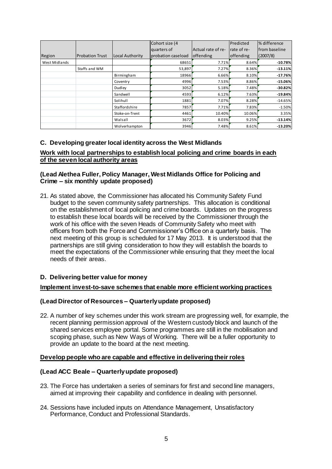|               |                        |                 | Cohort size (4     |                    | Predicted   | % difference          |
|---------------|------------------------|-----------------|--------------------|--------------------|-------------|-----------------------|
|               |                        |                 | quarters of        | Actual rate of re- | rate of re- | <b>Ifrom baseline</b> |
| Region        | <b>Probation Trust</b> | Local Authority | probation caseload | <b>offending</b>   | offending   | (2007/8)              |
| West Midlands |                        |                 | 68651              | 7.71%              | 8.64%       | $-10.78%$             |
|               | Staffs and WM          |                 | 53,897             | 7.27%              | 8.36%       | $-13.11%$             |
|               |                        | Birmingham      | 18966              | 6.66%              | 8.10%       | $-17.76%$             |
|               |                        | Coventry        | 4996               | 7.53%              | 8.86%       | $-15.06%$             |
|               |                        | Dudley          | 3052               | 5.18%              | 7.48%       | $-30.82%$             |
|               |                        | Sandwell        | 4593               | 6.12%              | 7.63%       | $-19.84%$             |
|               |                        | Solihull        | 1881               | 7.07%              | 8.28%       | $-14.65%$             |
|               |                        | Staffordshire   | 7857               | 7.71%              | 7.83%       | $-1.50%$              |
|               |                        | Stoke-on-Trent  | 4461               | 10.40%             | 10.06%      | 3.35%                 |
|               |                        | Walsall         | 3672               | 8.03%              | 9.25%       | $-13.14%$             |
|               |                        | Wolverhampton   | 3946               | 7.48%              | 8.61%       | $-13.20%$             |

#### **C. Developing greater local identity across the West Midlands**

#### **Work with local partnerships to establish local policing and crime boards in each of the seven local authority areas**

#### **(Lead Alethea Fuller, Policy Manager, West Midlands Office for Policing and Crime – six monthly update proposed)**

21. As stated above, the Commissioner has allocated his Community Safety Fund budget to the seven community safety partnerships. This allocation is conditional on the establishment of local policing and crime boards. Updates on the progress to establish these local boards will be received by the Commissioner through the work of his office with the seven Heads of Community Safety who meet with officers from both the Force and Commissioner's Office on a quarterly basis. The next meeting of this group is scheduled for 17 May 2013. It is understood that the partnerships are still giving consideration to how they will establish the boards to meet the expectations of the Commissioner while ensuring that they meet the local needs of their areas.

# **D. Delivering better value for money**

#### **Implement invest-to-save schemes that enable more efficient working practices**

#### **(Lead Director of Resources – Quarterly update proposed)**

22. A number of key schemes under this work stream are progressing well, for example, the recent planning permission approval of the Western custody block and launch of the shared services employee portal. Some programmes are still in the mobilisation and scoping phase, such as New Ways of Working. There will be a fuller opportunity to provide an update to the board at the next meeting.

#### **Develop people who are capable and effective in delivering their roles**

#### **(Lead ACC Beale – Quarterly update proposed)**

- 23. The Force has undertaken a series of seminars for first and second line managers, aimed at improving their capability and confidence in dealing with personnel.
- 24. Sessions have included inputs on Attendance Management, Unsatisfactory Performance, Conduct and Professional Standards.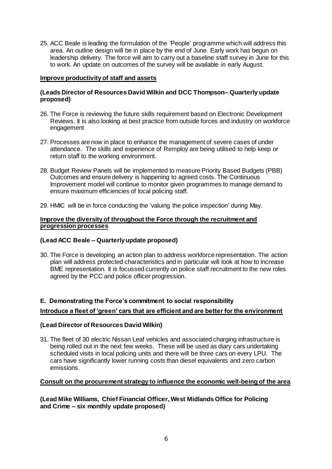25. ACC Beale is leading the formulation of the 'People' programme which will address this area. An outline design will be in place by the end of June. Early work has begun on leadership delivery. The force will aim to carry out a baseline staff survey in June for this to work. An update on outcomes of the survey will be available in early August.

### **Improve productivity of staff and assets**

### **(Leads Director of Resources David Wilkin and DCC Thompson– Quarterly update proposed)**

- 26. The Force is reviewing the future skills requirement based on Electronic Development Reviews. It is also looking at best practice from outside forces and industry on workforce engagement
- 27. Processes are now in place to enhance the management of severe cases of under attendance. The skills and experience of Remploy are being utilised to help keep or return staff to the working environment.
- 28. Budget Review Panels will be implemented to measure Priority Based Budgets (PBB) Outcomes and ensure delivery is happening to agreed costs. The Continuous Improvement model will continue to monitor given programmes to manage demand to ensure maximum efficiencies of local policing staff.
- 29. HMIC will be in force conducting the 'valuing the police inspection' during May.

#### **Improve the diversity of throughout the Force through the recruitment and progression processes**

# **(Lead ACC Beale – Quarterlyupdate proposed)**

30. The Force is developing an action plan to address workforce representation. The action plan will address protected characteristics and in particular will look at how to increase BME representation. It is focussed currently on police staff recruitment to the new roles agreed by the PCC and police officer progression.

# **E. Demonstrating the Force's commitment to social responsibility**

# **Introduce a fleet of 'green' cars that are efficient and are better for the environment**

# **(Lead Director of Resources David Wilkin)**

31. The fleet of 30 electric Nissan Leaf vehicles and associated charging infrastructure is being rolled out in the next few weeks. These will be used as diary cars undertaking scheduled visits in local policing units and there will be three cars on every LPU. The cars have significantly lower running costs than diesel equivalents and zero carbon emissions.

#### **Consult on the procurement strategy to influence the economic well-being of the area**

**(Lead Mike Williams, Chief Financial Officer, West Midlands Office for Policing and Crime – six monthly update proposed)**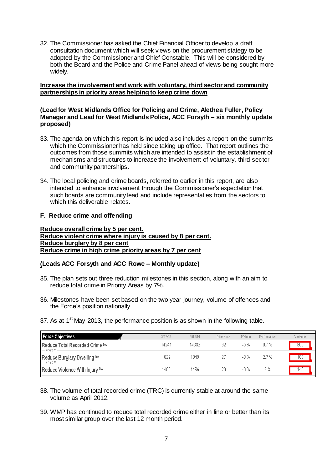32. The Commissioner has asked the Chief Financial Officer to develop a draft consultation document which will seek views on the procurement stategy to be adopted by the Commissioner and Chief Constable. This will be considered by both the Board and the Police and Crime Panel ahead of views being sought more widely.

#### **Increase the involvement and work with voluntary, third sector and community partnerships in priority areas helping to keep crime down**

#### **(Lead for West Midlands Office for Policing and Crime, Alethea Fuller, Policy Manager and Lead for West Midlands Police, ACC Forsyth – six monthly update proposed)**

- 33. The agenda on which this report is included also includes a report on the summits which the Commissioner has held since taking up office. That report outlines the outcomes from those summits which are intended to assist in the establishment of mechanisms and structures to increase the involvement of voluntary, third sector and community partnerships.
- 34. The local policing and crime boards, referred to earlier in this report, are also intended to enhance involvement through the Commissioner's expectation that such boards are community lead and include representaties from the sectors to which this deliverable relates.

#### **F. Reduce crime and offending**

**Reduce overall crime by 5 per cent. Reduce violent crime where injury is caused by 8 per cent. Reduce burglary by 8 per cent Reduce crime in high crime priority areas by 7 per cent**

#### **(Leads ACC Forsyth and ACC Rowe – Monthly update)**

- 35. The plan sets out three reduction milestones in this section, along with an aim to reduce total crime in Priority Areas by 7%.
- 36. Milestones have been set based on the two year journey, volume of offences and the Force's position nationally.
- 37. As at  $1<sup>st</sup>$  May 2013, the performance position is as shown in the following table.

| <b>Force Objectives</b>                     | 2012/13 | 2013/14 | Difference | <b>M'stone</b> | Performance | Variance |
|---------------------------------------------|---------|---------|------------|----------------|-------------|----------|
| Reduce Total Recorded Crime DW<br>— chart ▼ | 14241   | 14333   | 92         | $-5%$          | 0.7 %       | 805      |
| Reduce Burglary Dwelling DW<br>— chart.▼    | 1022    | 1049    |            | -8 %           | 2.7%        | າບະ      |
| Reduce Violence With Injury DW              | 1468    | 1496    | 28         | -8 %           | 2 %         | 146      |

- 38. The volume of total recorded crime (TRC) is currently stable at around the same volume as April 2012.
- 39. WMP has continued to reduce total recorded crime either in line or better than its most similar group over the last 12 month period.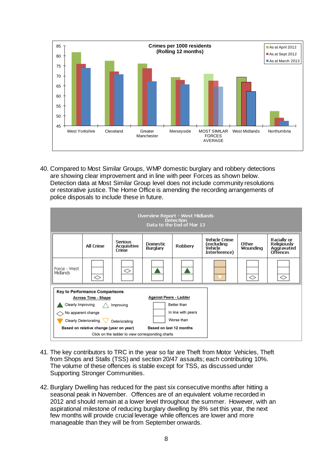

40. Compared to Most Similar Groups, WMP domestic burglary and robbery detections are showing clear improvement and in line with peer Forces as shown below. Detection data at Most Similar Group level does not include community resolutions or restorative justice. The Home Office is amending the recording arrangements of police disposals to include these in future.

| <b>Overview Report - West Midlands</b><br><b>Detection</b><br>Data to the End of Mar 13                                                                                                                                                            |                  |                                               |                                    |                |                                                                       |                   |                                                                    |  |
|----------------------------------------------------------------------------------------------------------------------------------------------------------------------------------------------------------------------------------------------------|------------------|-----------------------------------------------|------------------------------------|----------------|-----------------------------------------------------------------------|-------------------|--------------------------------------------------------------------|--|
|                                                                                                                                                                                                                                                    | <b>All Crime</b> | <b>Serious</b><br><b>Acquisitive</b><br>Crime | <b>Domestic</b><br><b>Burglary</b> | <b>Robbery</b> | <b>Vehicle Crime</b><br>(excludina<br><b>Vehicle</b><br>Interference) | Other<br>Wounding | Racially or<br><b>Religiously</b><br>Aggravated<br><b>Offences</b> |  |
| Force - West<br>Midlands                                                                                                                                                                                                                           | ◇                | ◇                                             |                                    |                |                                                                       | ◇                 | ◇                                                                  |  |
| <b>Key to Performance Comparisons</b><br>Against Peers - Ladder<br><b>Across Time - Shape</b><br>Better than<br>Clearly Improving<br>Improving<br>In line with peers<br>No apparent change<br>Worse than<br>Clearly Deteriorating<br>Deteriorating |                  |                                               |                                    |                |                                                                       |                   |                                                                    |  |
| Based on last 12 months<br>Based on relative change (year on year)<br>Click on the ladder to view corresponding charts                                                                                                                             |                  |                                               |                                    |                |                                                                       |                   |                                                                    |  |

- 41. The key contributors to TRC in the year so far are Theft from Motor Vehicles, Theft from Shops and Stalls (TSS) and section 20/47 assaults; each contributing 10%. The volume of these offences is stable except for TSS, as discussed under Supporting Stronger Communities.
- 42. Burglary Dwelling has reduced for the past six consecutive months after hitting a seasonal peak in November. Offences are of an equivalent volume recorded in 2012 and should remain at a lower level throughout the summer. However, with an aspirational milestone of reducing burglary dwelling by 8% set this year, the next few months will provide crucial leverage while offences are lower and more manageable than they will be from September onwards.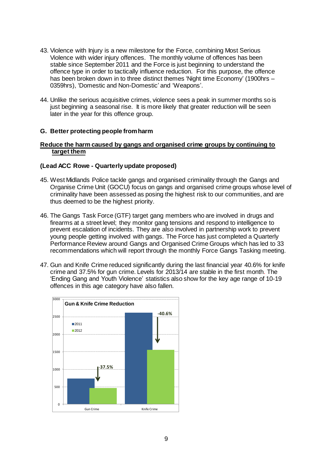- 43. Violence with Injury is a new milestone for the Force, combining Most Serious Violence with wider injury offences. The monthly volume of offences has been stable since September 2011 and the Force is just beginning to understand the offence type in order to tactically influence reduction. For this purpose, the offence has been broken down in to three distinct themes 'Night time Economy' (1900hrs – 0359hrs), 'Domestic and Non-Domestic' and 'Weapons'.
- 44. Unlike the serious acquisitive crimes, violence sees a peak in summer months so is just beginning a seasonal rise. It is more likely that greater reduction will be seen later in the year for this offence group.

#### **G. Better protecting people from harm**

#### **Reduce the harm caused by gangs and organised crime groups by continuing to target them**

#### **(Lead ACC Rowe - Quarterly update proposed)**

- 45. West Midlands Police tackle gangs and organised criminality through the Gangs and Organise Crime Unit (GOCU) focus on gangs and organised crime groups whose level of criminality have been assessed as posing the highest risk to our communities, and are thus deemed to be the highest priority.
- 46. The Gangs Task Force (GTF) target gang members who are involved in drugs and firearms at a street level; they monitor gang tensions and respond to intelligence to prevent escalation of incidents. They are also involved in partnership work to prevent young people getting involved with gangs. The Force has just completed a Quarterly Performance Review around Gangs and Organised Crime Groups which has led to 33 recommendations which will report through the monthly Force Gangs Tasking meeting.
- 47. Gun and Knife Crime reduced significantly during the last financial year 40.6% for knife crime and 37.5% for gun crime. Levels for 2013/14 are stable in the first month. The 'Ending Gang and Youth Violence' statistics also show for the key age range of 10-19 offences in this age category have also fallen.

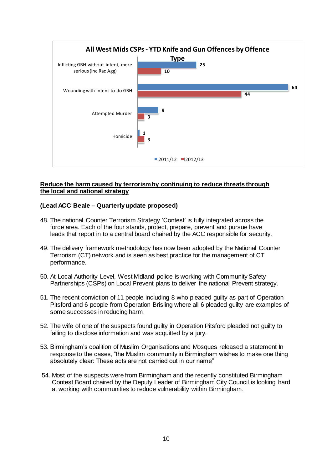

# **Reduce the harm caused by terrorism by continuing to reduce threats through the local and national strategy**

# **(Lead ACC Beale – Quarterly update proposed)**

- 48. The national Counter Terrorism Strategy 'Contest' is fully integrated across the force area. Each of the four stands, protect, prepare, prevent and pursue have leads that report in to a central board chaired by the ACC responsible for security.
- 49. The delivery framework methodology has now been adopted by the National Counter Terrorism (CT) network and is seen as best practice for the management of CT performance.
- 50. At Local Authority Level, West Midland police is working with Community Safety Partnerships (CSPs) on Local Prevent plans to deliver the national Prevent strategy.
- 51. The recent conviction of 11 people including 8 who pleaded guilty as part of Operation Pitsford and 6 people from Operation Brisling where all 6 pleaded guilty are examples of some successes in reducing harm.
- 52. The wife of one of the suspects found guilty in Operation Pitsford pleaded not guilty to failing to disclose information and was acquitted by a jury.
- 53. Birmingham's coalition of Muslim Organisations and Mosques released a statement In response to the cases, "the Muslim community in Birmingham wishes to make one thing absolutely clear: These acts are not carried out in our name"
- 54. Most of the suspects were from Birmingham and the recently constituted Birmingham Contest Board chaired by the Deputy Leader of Birmingham City Council is looking hard at working with communities to reduce vulnerability within Birmingham.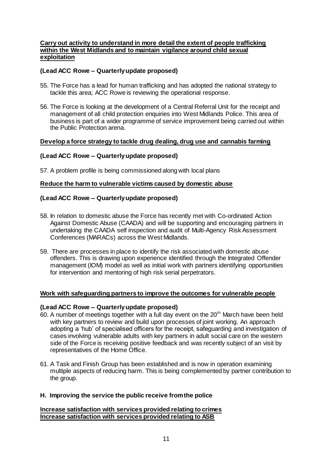#### **Carry out activity to understand in more detail the extent of people trafficking within the West Midlands and to maintain vigilance around child sexual exploitation**

# **(Lead ACC Rowe – Quarterly update proposed)**

- 55. The Force has a lead for human trafficking and has adopted the national strategy to tackle this area; ACC Rowe is reviewing the operational response.
- 56. The Force is looking at the development of a Central Referral Unit for the receipt and management of all child protection enquiries into West Midlands Police. This area of business is part of a wider programme of service improvement being carried out within the Public Protection arena.

#### **Develop a force strategy to tackle drug dealing, drug use and cannabis farming**

#### **(Lead ACC Rowe – Quarterly update proposed)**

57. A problem profile is being commissioned along with local plans

#### **Reduce the harm to vulnerable victims caused by domestic abuse**

### **(Lead ACC Rowe – Quarterly update proposed)**

- 58. In relation to domestic abuse the Force has recently met with Co-ordinated Action Against Domestic Abuse (CAADA) and will be supporting and encouraging partners in undertaking the CAADA self inspection and audit of Multi-Agency Risk Assessment Conferences (MARACs) across the West Midlands.
- 59. There are processes in place to identify the risk associated with domestic abuse offenders. This is drawing upon experience identified through the Integrated Offender management (IOM) model as well as initial work with partners identifying opportunities for intervention and mentoring of high risk serial perpetrators.

#### **Work with safeguarding partners to improve the outcomes for vulnerable people**

#### **(Lead ACC Rowe – Quarterly update proposed)**

- 60. A number of meetings together with a full day event on the  $20<sup>th</sup>$  March have been held with key partners to review and build upon processes of joint working. An approach adopting a 'hub' of specialised officers for the receipt, safeguarding and investigation of cases involving vulnerable adults with key partners in adult social care on the western side of the Force is receiving positive feedback and was recently subject of an visit by representatives of the Home Office.
- 61. A Task and Finish Group has been established and is now in operation examining multiple aspects of reducing harm. This is being complemented by partner contribution to the group.

#### **H. Improving the service the public receive from the police**

#### **Increase satisfaction with services provided relating to crimes Increase satisfaction with services provided relating to ASB**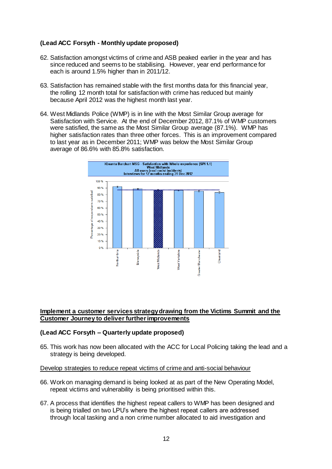# **(Lead ACC Forsyth - Monthly update proposed)**

- 62. Satisfaction amongst victims of crime and ASB peaked earlier in the year and has since reduced and seems to be stabilising. However, year end performance for each is around 1.5% higher than in 2011/12.
- 63. Satisfaction has remained stable with the first months data for this financial year, the rolling 12 month total for satisfaction with crime has reduced but mainly because April 2012 was the highest month last year.
- 64. West Midlands Police (WMP) is in line with the Most Similar Group average for Satisfaction with Service. At the end of December 2012, 87.1% of WMP customers were satisfied, the same as the Most Similar Group average (87.1%). WMP has higher satisfaction rates than three other forces. This is an improvement compared to last year as in December 2011; WMP was below the Most Similar Group average of 86.6% with 85.8% satisfaction.



#### **Implement a customer services strategy drawing from the Victims Summit and the Customer Journey to deliver further improvements**

#### **(Lead ACC Forsyth – Quarterly update proposed)**

65. This work has now been allocated with the ACC for Local Policing taking the lead and a strategy is being developed.

#### Develop strategies to reduce repeat victims of crime and anti-social behaviour

- 66. Work on managing demand is being looked at as part of the New Operating Model, repeat victims and vulnerability is being prioritised within this.
- 67. A process that identifies the highest repeat callers to WMP has been designed and is being trialled on two LPU's where the highest repeat callers are addressed through local tasking and a non crime number allocated to aid investigation and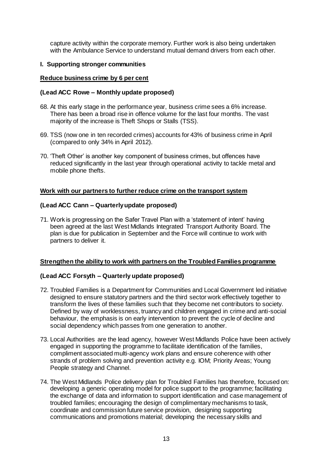capture activity within the corporate memory. Further work is also being undertaken with the Ambulance Service to understand mutual demand drivers from each other.

#### **I. Supporting stronger communities**

#### **Reduce business crime by 6 per cent**

#### **(Lead ACC Rowe – Monthly update proposed)**

- 68. At this early stage in the performance year, business crime sees a 6% increase. There has been a broad rise in offence volume for the last four months. The vast majority of the increase is Theft Shops or Stalls (TSS).
- 69. TSS (now one in ten recorded crimes) accounts for 43% of business crime in April (compared to only 34% in April 2012).
- 70. 'Theft Other' is another key component of business crimes, but offences have reduced significantly in the last year through operational activity to tackle metal and mobile phone thefts.

#### **Work with our partners to further reduce crime on the transport system**

#### **(Lead ACC Cann – Quarterlyupdate proposed)**

71. Work is progressing on the Safer Travel Plan with a 'statement of intent' having been agreed at the last West Midlands Integrated Transport Authority Board. The plan is due for publication in September and the Force will continue to work with partners to deliver it.

#### **Strengthen the ability to work with partners on the Troubled Families programme**

#### **(Lead ACC Forsyth – Quarterly update proposed)**

- 72. Troubled Families is a Department for Communities and Local Government led initiative designed to ensure statutory partners and the third sector work effectively together to transform the lives of these families such that they become net contributors to society. Defined by way of worklessness, truancy and children engaged in crime and anti-social behaviour, the emphasis is on early intervention to prevent the cycle of decline and social dependency which passes from one generation to another.
- 73. Local Authorities are the lead agency, however West Midlands Police have been actively engaged in supporting the programme to facilitate identification of the families, compliment associated multi-agency work plans and ensure coherence with other strands of problem solving and prevention activity e.g. IOM; Priority Areas; Young People strategy and Channel.
- 74. The West Midlands Police delivery plan for Troubled Families has therefore, focused on: developing a generic operating model for police support to the programme; facilitating the exchange of data and information to support identification and case management of troubled families; encouraging the design of complimentary mechanisms to task, coordinate and commission future service provision, designing supporting communications and promotions material; developing the necessary skills and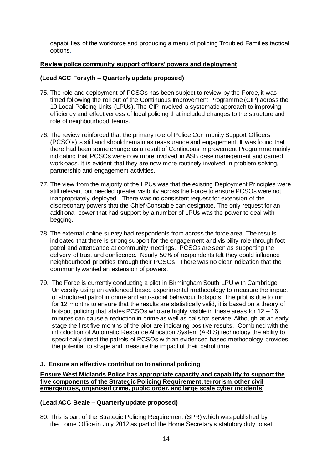capabilities of the workforce and producing a menu of policing Troubled Families tactical options.

# **Review police community support officers' powers and deployment**

#### **(Lead ACC Forsyth – Quarterly update proposed)**

- 75. The role and deployment of PCSOs has been subject to review by the Force, it was timed following the roll out of the Continuous Improvement Programme (CIP) across the 10 Local Policing Units (LPUs). The CIP involved a systematic approach to improving efficiency and effectiveness of local policing that included changes to the structure and role of neighbourhood teams.
- 76. The review reinforced that the primary role of Police Community Support Officers (PCSO's) is still and should remain as reassurance and engagement. It was found that there had been some change as a result of Continuous Improvement Programme mainly indicating that PCSOs were now more involved in ASB case management and carried workloads. It is evident that they are now more routinely involved in problem solving, partnership and engagement activities.
- 77. The view from the majority of the LPUs was that the existing Deployment Principles were still relevant but needed greater visibility across the Force to ensure PCSOs were not inappropriately deployed. There was no consistent request for extension of the discretionary powers that the Chief Constable can designate. The only request for an additional power that had support by a number of LPUs was the power to deal with begging.
- 78. The external online survey had respondents from across the force area. The results indicated that there is strong support for the engagement and visibility role through foot patrol and attendance at community meetings. PCSOs are seen as supporting the delivery of trust and confidence. Nearly 50% of respondents felt they could influence neighbourhood priorities through their PCSOs. There was no clear indication that the community wanted an extension of powers.
- 79. The Force is currently conducting a pilot in Birmingham South LPU with Cambridge University using an evidenced based experimental methodology to measure the impact of structured patrol in crime and anti-social behaviour hotspots. The pilot is due to run for 12 months to ensure that the results are statistically valid, it is based on a theory of hotspot policing that states PCSOs who are highly visible in these areas for 12 – 16 minutes can cause a reduction in crime as well as calls for service. Although at an early stage the first five months of the pilot are indicating positive results. Combined with the introduction of Automatic Resource Allocation System (ARLS) technology the ability to specifically direct the patrols of PCSOs with an evidenced based methodology provides the potential to shape and measure the impact of their patrol time.

#### **J. Ensure an effective contribution to national policing**

**Ensure West Midlands Police has appropriate capacity and capability to support the five components of the Strategic Policing Requirement: terrorism, other civil emergencies, organised crime, public order, and large scale cyber incidents**

#### **(Lead ACC Beale – Quarterly update proposed)**

80. This is part of the Strategic Policing Requirement (SPR) which was published by the Home Office in July 2012 as part of the Home Secretary's statutory duty to set